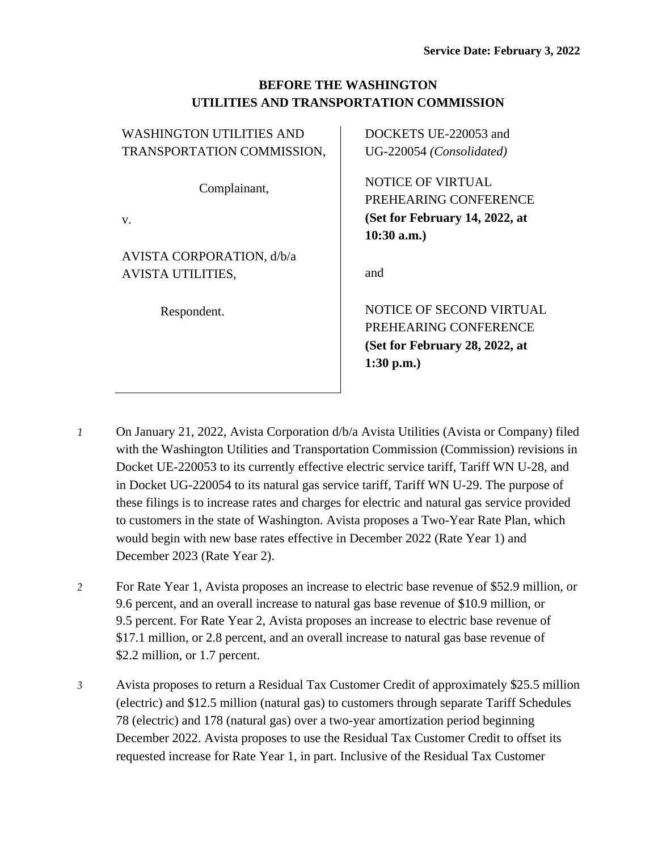## **BEFORE THE WASHINGTON UTILITIES AND TRANSPORTATION COMMISSION**

| <b>WASHINGTON UTILITIES AND</b> | DOCKETS UE-220053 and          |
|---------------------------------|--------------------------------|
| TRANSPORTATION COMMISSION,      | UG-220054 (Consolidated)       |
| Complainant,                    | <b>NOTICE OF VIRTUAL</b>       |
|                                 | PREHEARING CONFERENCE          |
| $V_{\cdot}$                     | (Set for February 14, 2022, at |
|                                 | $10:30$ a.m.)                  |
| AVISTA CORPORATION, d/b/a       |                                |
| <b>AVISTA UTILITIES,</b>        | and                            |
| Respondent.                     | NOTICE OF SECOND VIRTUAL       |
|                                 |                                |
|                                 | PREHEARING CONFERENCE          |
|                                 | (Set for February 28, 2022, at |
|                                 | $1:30$ p.m.)                   |

- *1* On January 21, 2022, Avista Corporation d/b/a Avista Utilities (Avista or Company) filed with the Washington Utilities and Transportation Commission (Commission) revisions in Docket UE-220053 to its currently effective electric service tariff, Tariff WN U-28, and in Docket UG-220054 to its natural gas service tariff, Tariff WN U-29. The purpose of these filings is to increase rates and charges for electric and natural gas service provided to customers in the state of Washington. Avista proposes a Two-Year Rate Plan, which would begin with new base rates effective in December 2022 (Rate Year 1) and December 2023 (Rate Year 2).
- *2* For Rate Year 1, Avista proposes an increase to electric base revenue of \$52.9 million, or 9.6 percent, and an overall increase to natural gas base revenue of \$10.9 million, or 9.5 percent. For Rate Year 2, Avista proposes an increase to electric base revenue of \$17.1 million, or 2.8 percent, and an overall increase to natural gas base revenue of \$2.2 million, or 1.7 percent.
- *3* Avista proposes to return a Residual Tax Customer Credit of approximately \$25.5 million (electric) and \$12.5 million (natural gas) to customers through separate Tariff Schedules 78 (electric) and 178 (natural gas) over a two-year amortization period beginning December 2022. Avista proposes to use the Residual Tax Customer Credit to offset its requested increase for Rate Year 1, in part. Inclusive of the Residual Tax Customer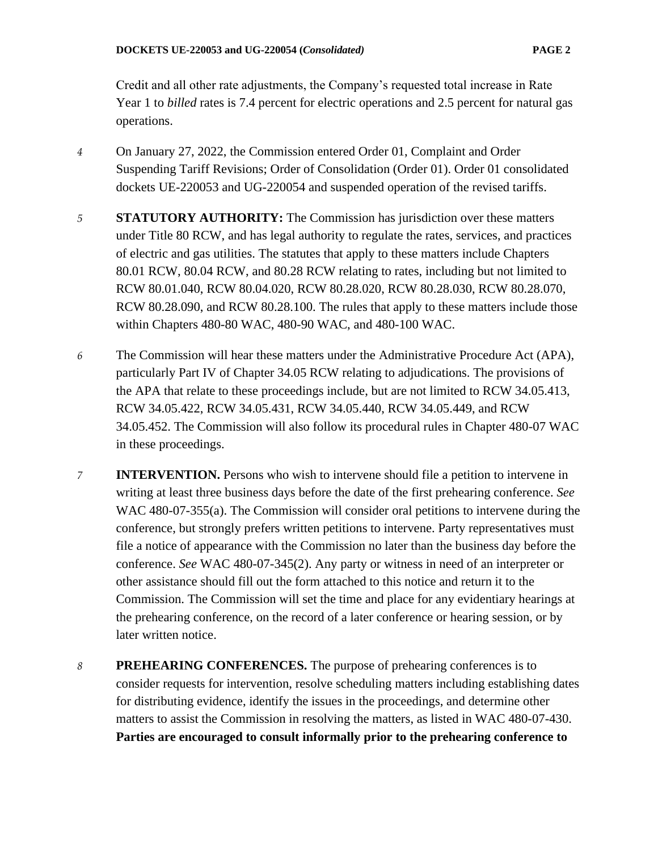Credit and all other rate adjustments, the Company's requested total increase in Rate Year 1 to *billed* rates is 7.4 percent for electric operations and 2.5 percent for natural gas operations.

- *4* On January 27, 2022, the Commission entered Order 01, Complaint and Order Suspending Tariff Revisions; Order of Consolidation (Order 01). Order 01 consolidated dockets UE-220053 and UG-220054 and suspended operation of the revised tariffs.
- *5* **STATUTORY AUTHORITY:** The Commission has jurisdiction over these matters under Title 80 RCW, and has legal authority to regulate the rates, services, and practices of electric and gas utilities. The statutes that apply to these matters include Chapters 80.01 RCW, 80.04 RCW, and 80.28 RCW relating to rates, including but not limited to RCW 80.01.040, RCW 80.04.020, RCW 80.28.020, RCW 80.28.030, RCW 80.28.070, RCW 80.28.090, and RCW 80.28.100. The rules that apply to these matters include those within Chapters 480-80 WAC, 480-90 WAC, and 480-100 WAC.
- *6* The Commission will hear these matters under the Administrative Procedure Act (APA), particularly Part IV of Chapter 34.05 RCW relating to adjudications. The provisions of the APA that relate to these proceedings include, but are not limited to RCW 34.05.413, RCW 34.05.422, RCW 34.05.431, RCW 34.05.440, RCW 34.05.449, and RCW 34.05.452. The Commission will also follow its procedural rules in Chapter 480-07 WAC in these proceedings.
- *7* **INTERVENTION.** Persons who wish to intervene should file a petition to intervene in writing at least three business days before the date of the first prehearing conference. *See*  WAC 480-07-355(a). The Commission will consider oral petitions to intervene during the conference, but strongly prefers written petitions to intervene. Party representatives must file a notice of appearance with the Commission no later than the business day before the conference. *See* WAC 480-07-345(2). Any party or witness in need of an interpreter or other assistance should fill out the form attached to this notice and return it to the Commission. The Commission will set the time and place for any evidentiary hearings at the prehearing conference, on the record of a later conference or hearing session, or by later written notice.
- *8* **PREHEARING CONFERENCES.** The purpose of prehearing conferences is to consider requests for intervention, resolve scheduling matters including establishing dates for distributing evidence, identify the issues in the proceedings, and determine other matters to assist the Commission in resolving the matters, as listed in WAC 480-07-430. **Parties are encouraged to consult informally prior to the prehearing conference to**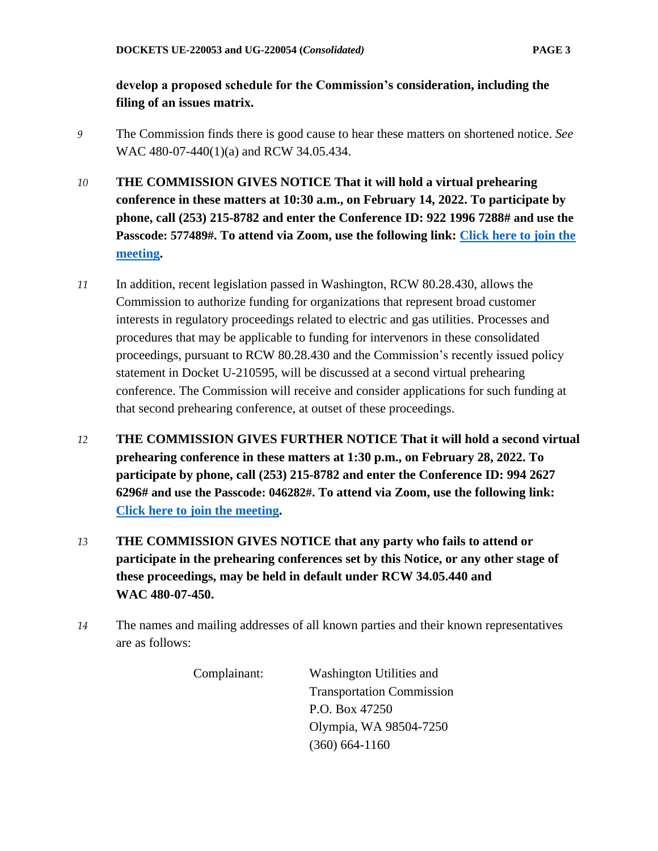## **develop a proposed schedule for the Commission's consideration, including the filing of an issues matrix.**

- *9* The Commission finds there is good cause to hear these matters on shortened notice. *See*  WAC 480-07-440(1)(a) and RCW 34.05.434.
- *10* **THE COMMISSION GIVES NOTICE That it will hold a virtual prehearing conference in these matters at 10:30 a.m., on February 14, 2022. To participate by phone, call (253) 215-8782 and enter the Conference ID: 922 1996 7288# and use the Passcode: 577489#. To attend via Zoom, use the following link: [Click here to join the](https://utc-wa-gov.zoom.us/j/92219967288?pwd=RjQwb0w1TjVVLy9OTzc4Ym1IWDZKZz09)  [meeting.](https://utc-wa-gov.zoom.us/j/92219967288?pwd=RjQwb0w1TjVVLy9OTzc4Ym1IWDZKZz09)**
- *11* In addition, recent legislation passed in Washington, RCW 80.28.430, allows the Commission to authorize funding for organizations that represent broad customer interests in regulatory proceedings related to electric and gas utilities. Processes and procedures that may be applicable to funding for intervenors in these consolidated proceedings, pursuant to RCW 80.28.430 and the Commission's recently issued policy statement in Docket U-210595, will be discussed at a second virtual prehearing conference. The Commission will receive and consider applications for such funding at that second prehearing conference, at outset of these proceedings.
- *12* **THE COMMISSION GIVES FURTHER NOTICE That it will hold a second virtual prehearing conference in these matters at 1:30 p.m., on February 28, 2022. To participate by phone, call (253) 215-8782 and enter the Conference ID: 994 2627 6296# and use the Passcode: 046282#. To attend via Zoom, use the following link: [Click here to join the meeting.](https://utc-wa-gov.zoom.us/j/99426276296?pwd=bjYzV2U2WnpaQytFeUdkazl5RVI4UT09)**
- *13* **THE COMMISSION GIVES NOTICE that any party who fails to attend or participate in the prehearing conferences set by this Notice, or any other stage of these proceedings, may be held in default under RCW 34.05.440 and WAC 480-07-450.**
- *14* The names and mailing addresses of all known parties and their known representatives are as follows:

Complainant: Washington Utilities and Transportation Commission P.O. Box 47250 Olympia, WA 98504-7250 (360) 664-1160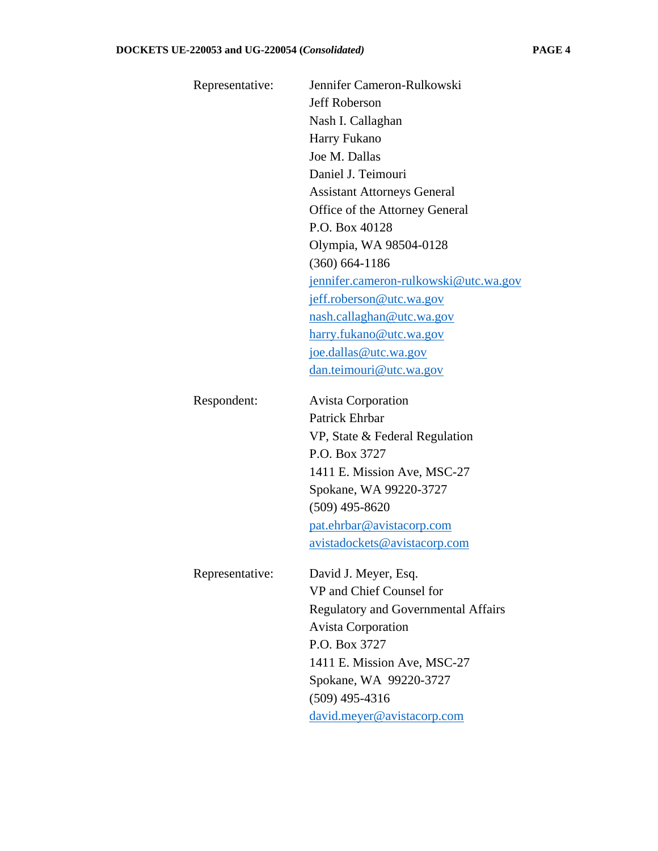| Representative: | Jennifer Cameron-Rulkowski                 |
|-----------------|--------------------------------------------|
|                 | <b>Jeff Roberson</b>                       |
|                 | Nash I. Callaghan                          |
|                 | Harry Fukano                               |
|                 | Joe M. Dallas                              |
|                 | Daniel J. Teimouri                         |
|                 | <b>Assistant Attorneys General</b>         |
|                 | Office of the Attorney General             |
|                 | P.O. Box 40128                             |
|                 | Olympia, WA 98504-0128                     |
|                 | $(360)$ 664-1186                           |
|                 | jennifer.cameron-rulkowski@utc.wa.gov      |
|                 | jeff.roberson@utc.wa.gov                   |
|                 | nash.callaghan@utc.wa.gov                  |
|                 | harry.fukano@utc.wa.gov                    |
|                 | joe.dallas@utc.wa.gov                      |
|                 | dan.teimouri@utc.wa.gov                    |
| Respondent:     | <b>Avista Corporation</b>                  |
|                 | <b>Patrick Ehrbar</b>                      |
|                 | VP, State & Federal Regulation             |
|                 | P.O. Box 3727                              |
|                 | 1411 E. Mission Ave, MSC-27                |
|                 | Spokane, WA 99220-3727                     |
|                 | $(509)$ 495-8620                           |
|                 | pat.ehrbar@avistacorp.com                  |
|                 | <u>avistadockets@avistacorp.com</u>        |
| Representative: | David J. Meyer, Esq.                       |
|                 | VP and Chief Counsel for                   |
|                 | <b>Regulatory and Governmental Affairs</b> |
|                 | <b>Avista Corporation</b>                  |
|                 | P.O. Box 3727                              |
|                 | 1411 E. Mission Ave, MSC-27                |
|                 | Spokane, WA 99220-3727                     |
|                 | $(509)$ 495-4316                           |
|                 | david.meyer@avistacorp.com                 |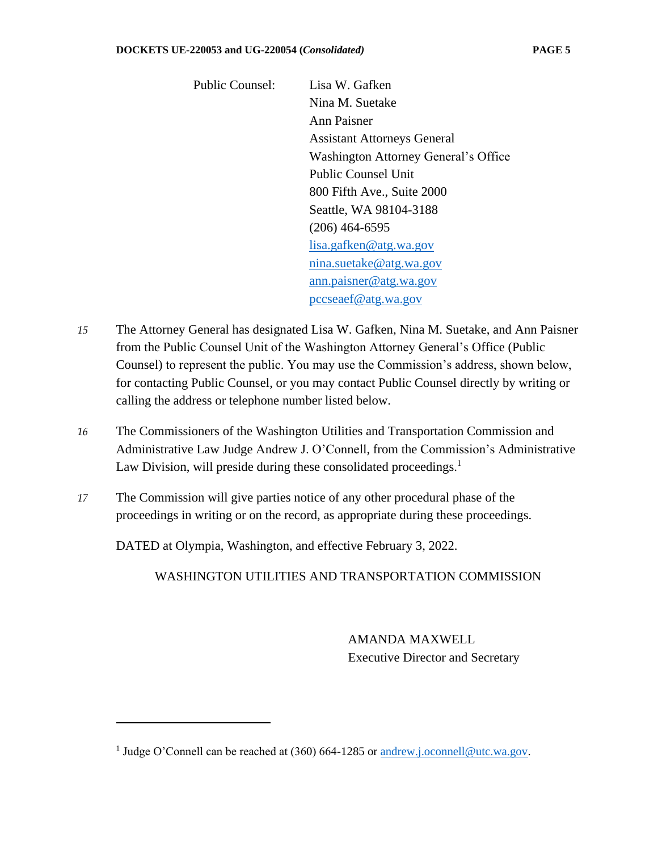Public Counsel: Lisa W. Gafken Nina M. Suetake Ann Paisner Assistant Attorneys General Washington Attorney General's Office Public Counsel Unit 800 Fifth Ave., Suite 2000 Seattle, WA 98104-3188 (206) 464-6595 [lisa.gafken@atg.wa.gov](mailto:lisa.gafken@atg.wa.gov) [nina.suetake@atg.wa.gov](mailto:nina.suetake@atg.wa.gov) [ann.paisner@atg.wa.gov](mailto:ann.paisner@atg.wa.gov) [pccseaef@atg.wa.gov](mailto:pccseaef@atg.wa.gov)

- *15* The Attorney General has designated Lisa W. Gafken, Nina M. Suetake, and Ann Paisner from the Public Counsel Unit of the Washington Attorney General's Office (Public Counsel) to represent the public. You may use the Commission's address, shown below, for contacting Public Counsel, or you may contact Public Counsel directly by writing or calling the address or telephone number listed below.
- *16* The Commissioners of the Washington Utilities and Transportation Commission and Administrative Law Judge Andrew J. O'Connell, from the Commission's Administrative Law Division, will preside during these consolidated proceedings.<sup>1</sup>
- *17* The Commission will give parties notice of any other procedural phase of the proceedings in writing or on the record, as appropriate during these proceedings.

DATED at Olympia, Washington, and effective February 3, 2022.

WASHINGTON UTILITIES AND TRANSPORTATION COMMISSION

AMANDA MAXWELL Executive Director and Secretary

<sup>&</sup>lt;sup>1</sup> Judge O'Connell can be reached at (360) 664-1285 or [andrew.j.oconnell@utc.wa.gov.](mailto:andrew.j.oconnell@utc.wa.gov)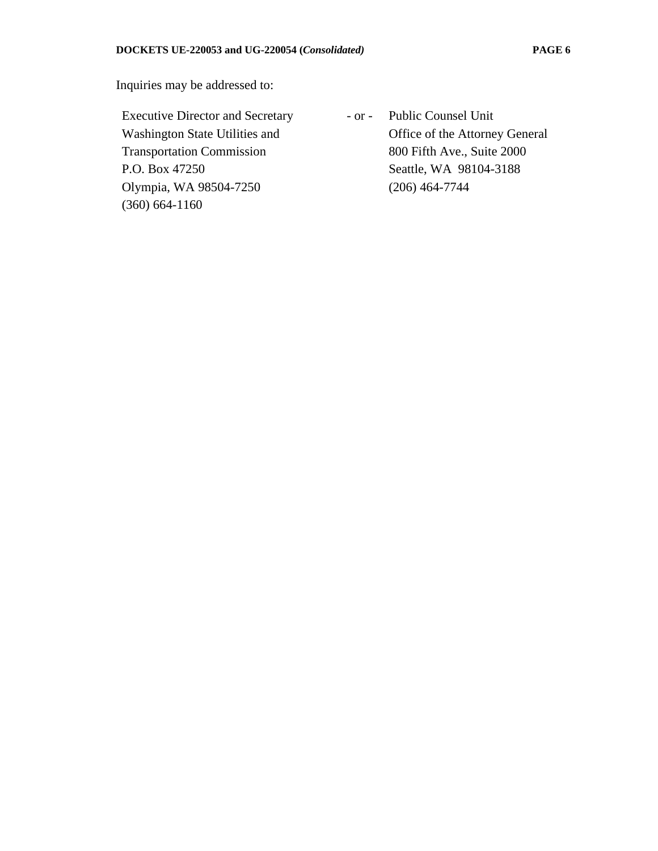Inquiries may be addressed to:

Executive Director and Secretary Washington State Utilities and Transportation Commission P.O. Box 47250 Olympia, WA 98504-7250 (360) 664-1160

- or - Public Counsel Unit Office of the Attorney General 800 Fifth Ave., Suite 2000 Seattle, WA 98104-3188 (206) 464-7744